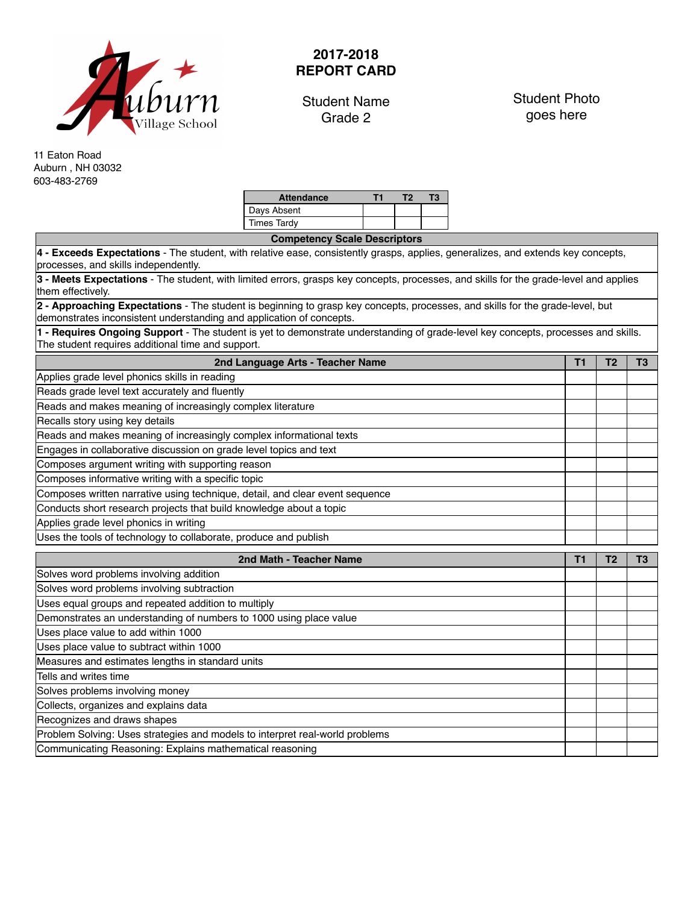

## **2017-2018 REPORT CARD**

Student Name Grade 2

Student Photo goes here

11 Eaton Road Auburn , NH 03032 603-483-2769

| <b>Attendance</b> |  | К |
|-------------------|--|---|
| Days Absent       |  |   |
| Times Tardy       |  |   |

| <b>Competency Scale Descriptors</b>                                                                                                                                                                   |    |                |                |
|-------------------------------------------------------------------------------------------------------------------------------------------------------------------------------------------------------|----|----------------|----------------|
| 4 - Exceeds Expectations - The student, with relative ease, consistently grasps, applies, generalizes, and extends key concepts,<br>processes, and skills independently.                              |    |                |                |
| 3 - Meets Expectations - The student, with limited errors, grasps key concepts, processes, and skills for the grade-level and applies<br>them effectively.                                            |    |                |                |
| 2 - Approaching Expectations - The student is beginning to grasp key concepts, processes, and skills for the grade-level, but<br>demonstrates inconsistent understanding and application of concepts. |    |                |                |
| 1 - Requires Ongoing Support - The student is yet to demonstrate understanding of grade-level key concepts, processes and skills.<br>The student requires additional time and support.                |    |                |                |
| 2nd Language Arts - Teacher Name                                                                                                                                                                      | T1 | T <sub>2</sub> | T <sub>3</sub> |
| Applies grade level phonics skills in reading                                                                                                                                                         |    |                |                |
| Reads grade level text accurately and fluently                                                                                                                                                        |    |                |                |
| Reads and makes meaning of increasingly complex literature                                                                                                                                            |    |                |                |
| Recalls story using key details                                                                                                                                                                       |    |                |                |
| Reads and makes meaning of increasingly complex informational texts                                                                                                                                   |    |                |                |
| Engages in collaborative discussion on grade level topics and text                                                                                                                                    |    |                |                |
| Composes argument writing with supporting reason                                                                                                                                                      |    |                |                |
| Composes informative writing with a specific topic                                                                                                                                                    |    |                |                |
| Composes written narrative using technique, detail, and clear event sequence                                                                                                                          |    |                |                |
| Conducts short research projects that build knowledge about a topic                                                                                                                                   |    |                |                |
| Applies grade level phonics in writing                                                                                                                                                                |    |                |                |
| Uses the tools of technology to collaborate, produce and publish                                                                                                                                      |    |                |                |
| 2nd Math - Teacher Name                                                                                                                                                                               | T1 | T <sub>2</sub> | T <sub>3</sub> |
| Solves word problems involving addition                                                                                                                                                               |    |                |                |
| Solves word problems involving subtraction                                                                                                                                                            |    |                |                |
| Uses equal groups and repeated addition to multiply                                                                                                                                                   |    |                |                |
| Demonstrates an understanding of numbers to 1000 using place value                                                                                                                                    |    |                |                |
| Uses place value to add within 1000                                                                                                                                                                   |    |                |                |
| Uses place value to subtract within 1000                                                                                                                                                              |    |                |                |
| Measures and estimates lengths in standard units                                                                                                                                                      |    |                |                |
| Tells and writes time                                                                                                                                                                                 |    |                |                |
| Solves problems involving money                                                                                                                                                                       |    |                |                |
| Collects, organizes and explains data                                                                                                                                                                 |    |                |                |
| Recognizes and draws shapes                                                                                                                                                                           |    |                |                |
| Problem Solving: Uses strategies and models to interpret real-world problems                                                                                                                          |    |                |                |
| Communicating Reasoning: Explains mathematical reasoning                                                                                                                                              |    |                |                |